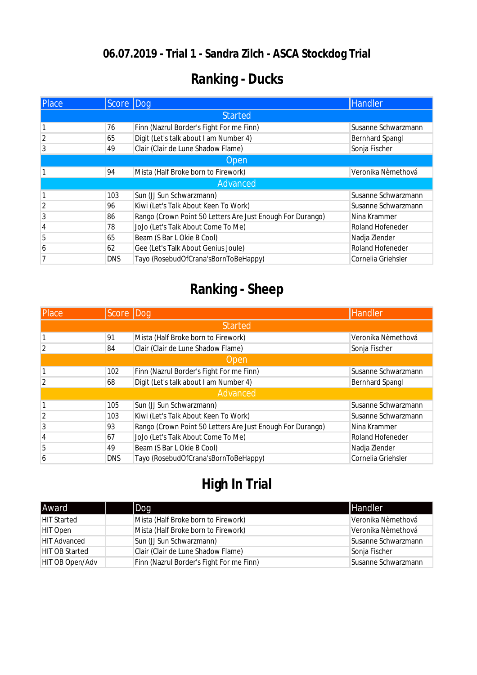#### **06.07.2019 - Trial 1 - Sandra Zilch - ASCA Stockdog Trial**

# **Ranking - Ducks**

| <b>Place</b>   | Score Dog  |                                                            | Handler                 |
|----------------|------------|------------------------------------------------------------|-------------------------|
| <b>Started</b> |            |                                                            |                         |
|                | 76         | Finn (Nazrul Border's Fight For me Finn)                   | Susanne Schwarzmann     |
| 2              | 65         | Digit (Let's talk about I am Number 4)                     | <b>Bernhard Spangl</b>  |
| 3              | 49         | Clair (Clair de Lune Shadow Flame)                         | Sonja Fischer           |
| Open           |            |                                                            |                         |
|                | 94         | Mista (Half Broke born to Firework)                        | Veronika Nèmethová      |
|                |            | Advanced                                                   |                         |
| 1              | 103        | Sun (JJ Sun Schwarzmann)                                   | Susanne Schwarzmann     |
| $\overline{2}$ | 96         | Kiwi (Let's Talk About Keen To Work)                       | Susanne Schwarzmann     |
| 3              | 86         | Rango (Crown Point 50 Letters Are Just Enough For Durango) | Nina Krammer            |
| 4              | 78         | JoJo (Let's Talk About Come To Me)                         | <b>Roland Hofeneder</b> |
| 5              | 65         | Beam (S Bar L Okie B Cool)                                 | Nadja Zlender           |
| 6              | 62         | Gee (Let's Talk About Genius Joule)                        | <b>Roland Hofeneder</b> |
| 7              | <b>DNS</b> | Tayo (RosebudOfCrana'sBornToBeHappy)                       | Cornelia Griehsler      |

# **Ranking - Sheep**

| <b>Place</b>   | Score Dog  |                                                            | <b>Handler</b>          |
|----------------|------------|------------------------------------------------------------|-------------------------|
| <b>Started</b> |            |                                                            |                         |
|                | 91         | Mista (Half Broke born to Firework)                        | Veronika Nèmethová      |
| $\overline{2}$ | 84         | Clair (Clair de Lune Shadow Flame)                         | Sonja Fischer           |
| <b>Open</b>    |            |                                                            |                         |
|                | 102        | Finn (Nazrul Border's Fight For me Finn)                   | Susanne Schwarzmann     |
| $\overline{2}$ | 68         | Digit (Let's talk about I am Number 4)                     | <b>Bernhard Spangl</b>  |
| Advanced       |            |                                                            |                         |
|                | 105        | Sun (JJ Sun Schwarzmann)                                   | Susanne Schwarzmann     |
| $\overline{2}$ | 103        | Kiwi (Let's Talk About Keen To Work)                       | Susanne Schwarzmann     |
| 3              | 93         | Rango (Crown Point 50 Letters Are Just Enough For Durango) | Nina Krammer            |
| 4              | 67         | JoJo (Let's Talk About Come To Me)                         | <b>Roland Hofeneder</b> |
| 5              | 49         | Beam (S Bar L Okie B Cool)                                 | Nadja Zlender           |
| 6              | <b>DNS</b> | Tayo (RosebudOfCrana'sBornToBeHappy)                       | Cornelia Griehsler      |

# **High In Trial**

| <b>Award</b>          | <b>I</b> Dog                             | <b>Handler</b>      |
|-----------------------|------------------------------------------|---------------------|
| <b>HIT Started</b>    | Mista (Half Broke born to Firework)      | Veronika Nèmethová  |
| <b>HIT Open</b>       | Mista (Half Broke born to Firework)      | Veronika Nèmethová  |
| <b>HIT Advanced</b>   | Sun (JJ Sun Schwarzmann)                 | Susanne Schwarzmann |
| <b>HIT OB Started</b> | Clair (Clair de Lune Shadow Flame)       | Sonja Fischer       |
| HIT OB Open/Adv       | Finn (Nazrul Border's Fight For me Finn) | Susanne Schwarzmann |